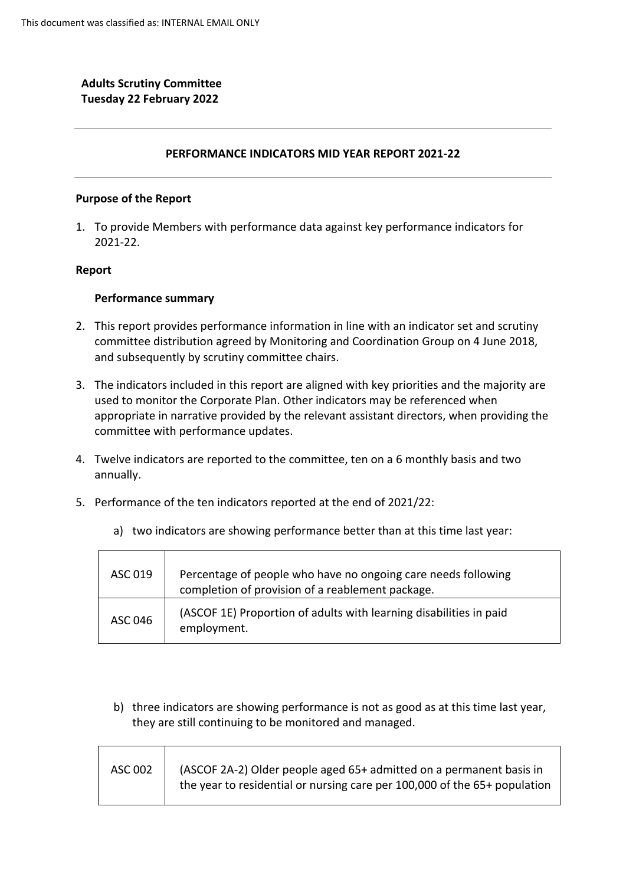# **Adults Scrutiny Committee Tuesday 22 February 2022**

### **PERFORMANCE INDICATORS MID YEAR REPORT 2021-22**

### **Purpose of the Report**

1. To provide Members with performance data against key performance indicators for 2021-22.

#### **Report**

#### **Performance summary**

- 2. This report provides performance information in line with an indicator set and scrutiny committee distribution agreed by Monitoring and Coordination Group on 4 June 2018, and subsequently by scrutiny committee chairs.
- 3. The indicators included in this report are aligned with key priorities and the majority are used to monitor the Corporate Plan. Other indicators may be referenced when appropriate in narrative provided by the relevant assistant directors, when providing the committee with performance updates.
- 4. Twelve indicators are reported to the committee, ten on a 6 monthly basis and two annually.
- 5. Performance of the ten indicators reported at the end of 2021/22:

| ASC 019 | Percentage of people who have no ongoing care needs following<br>completion of provision of a reablement package. |
|---------|-------------------------------------------------------------------------------------------------------------------|
| ASC 046 | (ASCOF 1E) Proportion of adults with learning disabilities in paid<br>employment.                                 |

a) two indicators are showing performance better than at this time last year:

b) three indicators are showing performance is not as good as at this time last year, they are still continuing to be monitored and managed.

| ASC 002 | (ASCOF 2A-2) Older people aged 65+ admitted on a permanent basis in<br>the year to residential or nursing care per 100,000 of the 65+ population |
|---------|--------------------------------------------------------------------------------------------------------------------------------------------------|
|         |                                                                                                                                                  |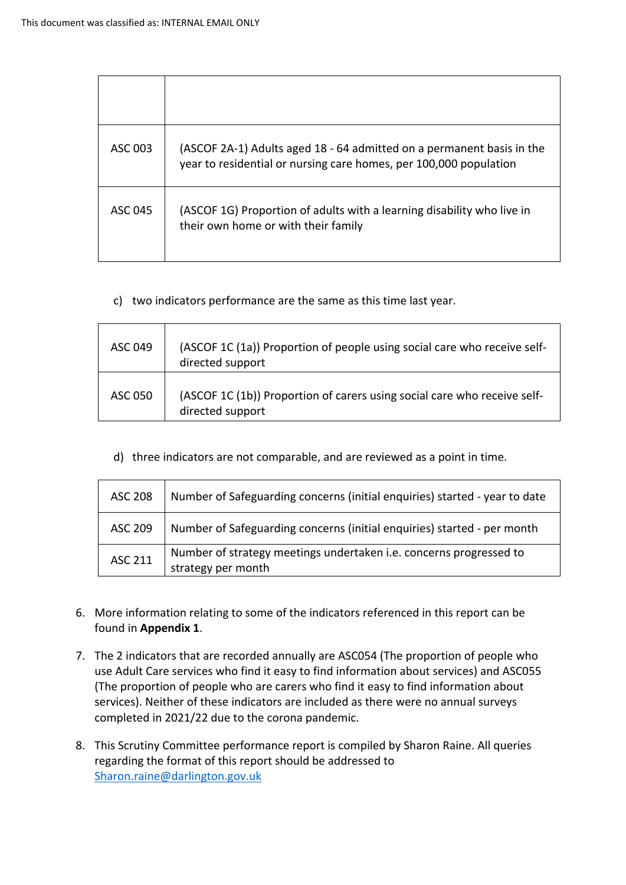| ASC 003 | (ASCOF 2A-1) Adults aged 18 - 64 admitted on a permanent basis in the<br>year to residential or nursing care homes, per 100,000 population |
|---------|--------------------------------------------------------------------------------------------------------------------------------------------|
| ASC 045 | (ASCOF 1G) Proportion of adults with a learning disability who live in<br>their own home or with their family                              |

c) two indicators performance are the same as this time last year.

| ASC 049 | (ASCOF 1C (1a)) Proportion of people using social care who receive self-<br>directed support |
|---------|----------------------------------------------------------------------------------------------|
| ASC 050 | (ASCOF 1C (1b)) Proportion of carers using social care who receive self-<br>directed support |

d) three indicators are not comparable, and are reviewed as a point in time.

| <b>ASC 208</b> | Number of Safeguarding concerns (initial enquiries) started - year to date               |
|----------------|------------------------------------------------------------------------------------------|
| <b>ASC 209</b> | Number of Safeguarding concerns (initial enquiries) started - per month                  |
| <b>ASC 211</b> | Number of strategy meetings undertaken i.e. concerns progressed to<br>strategy per month |

- 6. More information relating to some of the indicators referenced in this report can be found in **Appendix 1**.
- 7. The 2 indicators that are recorded annually are ASC054 (The proportion of people who use Adult Care services who find it easy to find information about services) and ASC055 (The proportion of people who are carers who find it easy to find information about services). Neither of these indicators are included as there were no annual surveys completed in 2021/22 due to the corona pandemic.
- 8. This Scrutiny Committee performance report is compiled by Sharon Raine. All queries regarding the format of this report should be addressed to Sharon.raine@darlington.gov.uk